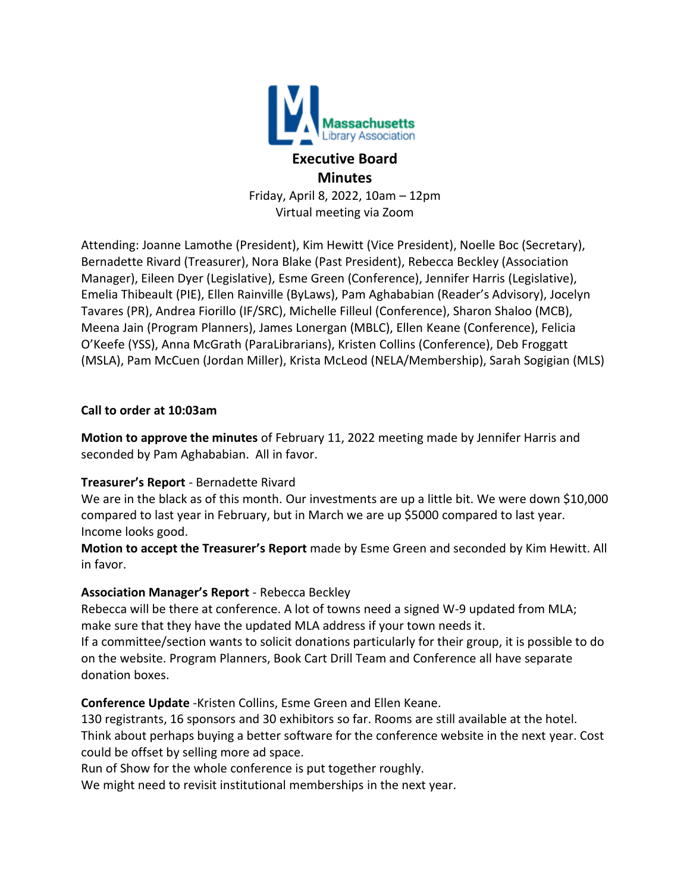

# **Executive Board Minutes**

Friday, April 8, 2022, 10am – 12pm Virtual meeting via Zoom

Attending: Joanne Lamothe (President), Kim Hewitt (Vice President), Noelle Boc (Secretary), Bernadette Rivard (Treasurer), Nora Blake (Past President), Rebecca Beckley (Association Manager), Eileen Dyer (Legislative), Esme Green (Conference), Jennifer Harris (Legislative), Emelia Thibeault (PIE), Ellen Rainville (ByLaws), Pam Aghababian (Reader's Advisory), Jocelyn Tavares (PR), Andrea Fiorillo (IF/SRC), Michelle Filleul (Conference), Sharon Shaloo (MCB), Meena Jain (Program Planners), James Lonergan (MBLC), Ellen Keane (Conference), Felicia O'Keefe (YSS), Anna McGrath (ParaLibrarians), Kristen Collins (Conference), Deb Froggatt (MSLA), Pam McCuen (Jordan Miller), Krista McLeod (NELA/Membership), Sarah Sogigian (MLS)

#### **Call to order at 10:03am**

**Motion to approve the minutes** of February 11, 2022 meeting made by Jennifer Harris and seconded by Pam Aghababian. All in favor.

### **Treasurer's Report** - Bernadette Rivard

We are in the black as of this month. Our investments are up a little bit. We were down \$10,000 compared to last year in February, but in March we are up \$5000 compared to last year. Income looks good.

**Motion to accept the Treasurer's Report** made by Esme Green and seconded by Kim Hewitt. All in favor.

### **Association Manager's Report** - Rebecca Beckley

Rebecca will be there at conference. A lot of towns need a signed W-9 updated from MLA; make sure that they have the updated MLA address if your town needs it.

If a committee/section wants to solicit donations particularly for their group, it is possible to do on the website. Program Planners, Book Cart Drill Team and Conference all have separate donation boxes.

**Conference Update** -Kristen Collins, Esme Green and Ellen Keane.

130 registrants, 16 sponsors and 30 exhibitors so far. Rooms are still available at the hotel. Think about perhaps buying a better software for the conference website in the next year. Cost could be offset by selling more ad space.

Run of Show for the whole conference is put together roughly.

We might need to revisit institutional memberships in the next year.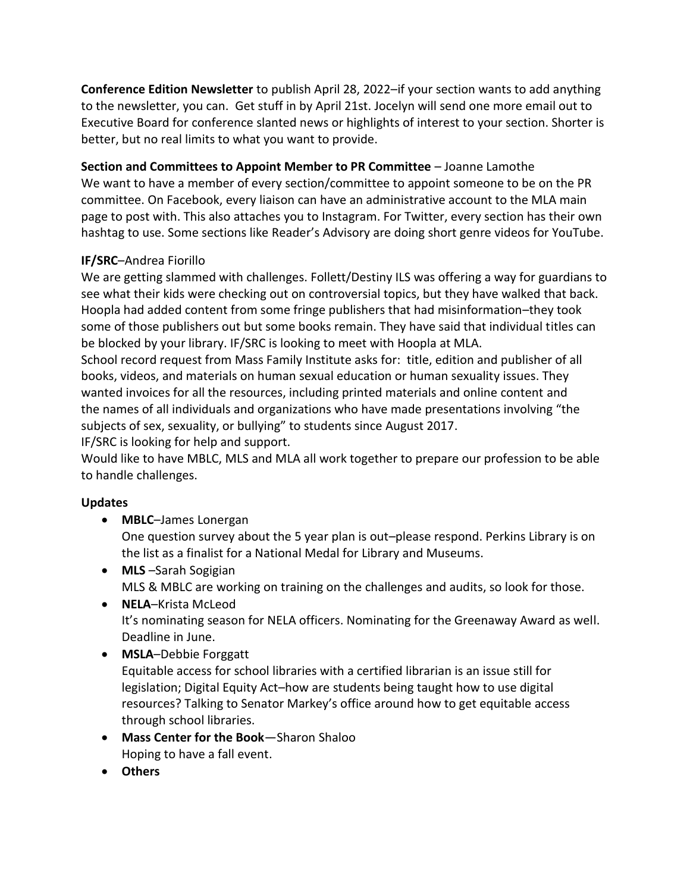**Conference Edition Newsletter** to publish April 28, 2022–if your section wants to add anything to the newsletter, you can. Get stuff in by April 21st. Jocelyn will send one more email out to Executive Board for conference slanted news or highlights of interest to your section. Shorter is better, but no real limits to what you want to provide.

**Section and Committees to Appoint Member to PR Committee** – Joanne Lamothe We want to have a member of every section/committee to appoint someone to be on the PR committee. On Facebook, every liaison can have an administrative account to the MLA main page to post with. This also attaches you to Instagram. For Twitter, every section has their own hashtag to use. Some sections like Reader's Advisory are doing short genre videos for YouTube.

## **IF/SRC**–Andrea Fiorillo

We are getting slammed with challenges. Follett/Destiny ILS was offering a way for guardians to see what their kids were checking out on controversial topics, but they have walked that back. Hoopla had added content from some fringe publishers that had misinformation–they took some of those publishers out but some books remain. They have said that individual titles can be blocked by your library. IF/SRC is looking to meet with Hoopla at MLA.

School record request from Mass Family Institute asks for: title, edition and publisher of all books, videos, and materials on human sexual education or human sexuality issues. They wanted invoices for all the resources, including printed materials and online content and the names of all individuals and organizations who have made presentations involving "the subjects of sex, sexuality, or bullying" to students since August 2017.

IF/SRC is looking for help and support.

Would like to have MBLC, MLS and MLA all work together to prepare our profession to be able to handle challenges.

### **Updates**

- **MBLC**–James Lonergan One question survey about the 5 year plan is out–please respond. Perkins Library is on the list as a finalist for a National Medal for Library and Museums.
- **MLS** –Sarah Sogigian MLS & MBLC are working on training on the challenges and audits, so look for those.
- **NELA**–Krista McLeod It's nominating season for NELA officers. Nominating for the Greenaway Award as well. Deadline in June.
- **MSLA**–Debbie Forggatt Equitable access for school libraries with a certified librarian is an issue still for legislation; Digital Equity Act–how are students being taught how to use digital resources? Talking to Senator Markey's office around how to get equitable access through school libraries.
- **Mass Center for the Book**—Sharon Shaloo Hoping to have a fall event.
- **Others**